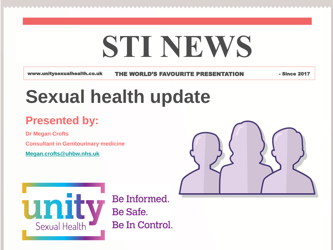# **STI NEWS**

www.unitysexualhealth.co.uk THE WORLD'S FAVOURITE PRESENTATION - Since 2017

# **Sexual health update**

### **Presented by:**

**Dr Megan Crofts Consultant in Genitourinary medicine [Megan.crofts@uhbw.nhs.uk](mailto:Megan.crofts@uhbw.nhs.uk)**





Be Informed. Be Safe. Be In Control.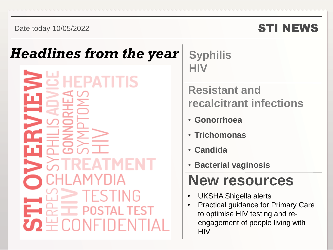### STI NEWS

### *Headlines from the year*

**Syphilis HIV**

### **Resistant and recalcitrant infections**

- **Gonorrhoea**
- **Trichomonas**
- **Candida**
- **Bacterial vaginosis**

## **New resources**

- UKSHA Shigella alerts
- Practical guidance for Primary Care to optimise HIV testing and reengagement of people living with **HIV**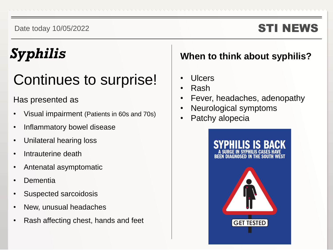### STI NEWS

## *Syphilis*

## Continues to surprise!

### Has presented as

- Visual impairment (Patients in 60s and 70s)
- Inflammatory bowel disease
- Unilateral hearing loss
- Intrauterine death
- Antenatal asymptomatic
- **Dementia**
- Suspected sarcoidosis
- New, unusual headaches
- Rash affecting chest, hands and feet

### **When to think about syphilis?**

- Ulcers
- Rash
- Fever, headaches, adenopathy
- Neurological symptoms
- Patchy alopecia

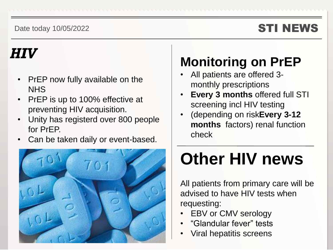### STI NEWS

## *HIV*

- PrEP now fully available on the **NHS**
- PrEP is up to 100% effective at preventing HIV acquisition.
- Unity has registerd over 800 people for PrEP.
- Can be taken daily or event-based.



## **Monitoring on PrEP**

- All patients are offered 3 monthly prescriptions
- **Every 3 months** offered full STI screening incl HIV testing
- (depending on risk**Every 3-12 months** factors) renal function check

# **Other HIV news**

All patients from primary care will be advised to have HIV tests when requesting:

- EBV or CMV serology
- "Glandular fever" tests
- Viral hepatitis screens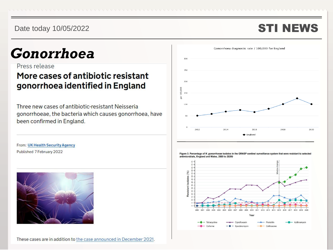### STI NEWS

## *Gonorrhoea*

Press release

### More cases of antibiotic resistant gonorrhoea identified in England

Three new cases of antibiotic-resistant Neisseria gonorrhoeae, the bacteria which causes gonorrhoea, have been confirmed in England.



From: UK Health Security Agency Published 7 February 2022



These cases are in addition to the case announced in December 2021.

Figure 3. Percentage of N. gonorrhoeae isolates in the GRASP sentinel surveillance system that were resistant to selected antimicrobials, England and Wales, 2000 to 2020+

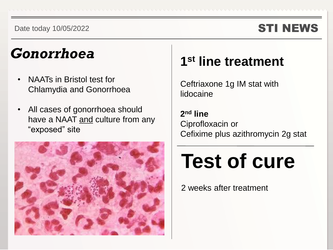### STI NEWS

## *Gonorrhoea*

- NAATs in Bristol test for Chlamydia and Gonorrhoea
- All cases of gonorrhoea should have a NAAT and culture from any "exposed" site



### **1 st line treatment**

Ceftriaxone 1g IM stat with lidocaine

**2 nd line** Ciprofloxacin or Cefixime plus azithromycin 2g stat

# **Test of cure**

2 weeks after treatment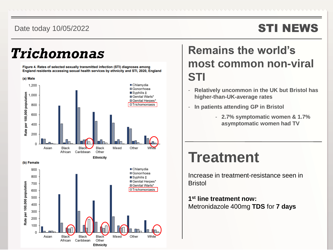### STI NEWS

Figure 4. Rates of selected sexually transmitted infection (STI) diagnoses among England residents accessing sexual health services by ethnicity and STI, 2020. England



(b) Female



### **Trichomonas** Remains the world's **most common non-viral STI**

- **Relatively uncommon in the UK but Bristol has higher-than-UK-average rates**
- **In patients attending GP in Bristol** 
	- **2.7% symptomatic women & 1.7% asymptomatic women had TV**

### **Treatment**

Increase in treatment-resistance seen in Bristol

**1 st line treatment now:** Metronidazole 400mg **TDS** for **7 days**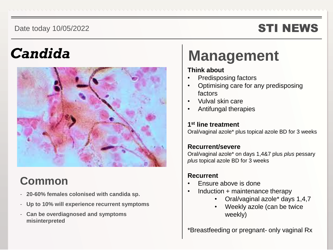### STI NEWS

## *Candida*



### **Common**

- **20-60% females colonised with candida sp.**
- **Up to 10% will experience recurrent symptoms**
- **Can be overdiagnosed and symptoms misinterpreted**

## **Management**

#### **Think about**

- Predisposing factors
- Optimising care for any predisposing factors
- Vulval skin care
- Antifungal therapies

#### **1 st line treatment**

Oral/vaginal azole\* plus topical azole BD for 3 weeks

#### **Recurrent/severe**

Oral/vaginal azole\* on days 1,4&7 plus *plus* pessary *plus* topical azole BD for 3 weeks

#### **Recurrent**

- Ensure above is done
- Induction  $+$  maintenance therapy
	- Oral/vaginal azole\* days 1,4,7
	- Weekly azole (can be twice weekly)

\*Breastfeeding or pregnant- only vaginal Rx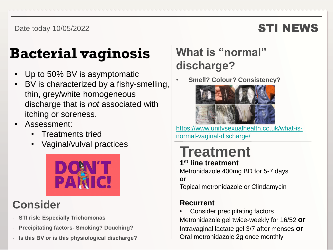### STI NEWS

## **Bacterial vaginosis**

- Up to 50% BV is asymptomatic
- BV is characterized by a fishy-smelling, thin, grey/white homogeneous discharge that is *not* associated with itching or soreness.
- Assessment:
	- Treatments tried
	- Vaginal/vulval practices



### **Consider**

- **STI risk: Especially Trichomonas**
- **Precipitating factors- Smoking? Douching?**
- **Is this BV or is this physiological discharge?**

### **What is "normal" discharge?**

• **Smell? Colour? Consistency?**



[https://www.unitysexualhealth.co.uk/what-is](https://www.unitysexualhealth.co.uk/what-is-normal-vaginal-discharge/)normal-vaginal-discharge/

### **Treatment 1 st line treatment**

Metronidazole 400mg BD for 5-7 days **or** Topical metronidazole or Clindamycin

### **Recurrent**

• Consider precipitating factors Metronidazole gel twice-weekly for 16/52 **or** Intravaginal lactate gel 3/7 after menses **or** Oral metronidazole 2g once monthly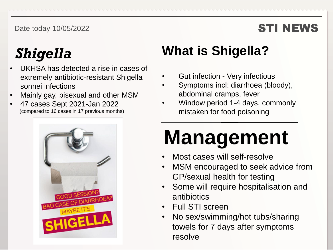### STI NEWS

## *Shigella*

- UKHSA has detected a rise in cases of extremely antibiotic-resistant Shigella sonnei infections
- Mainly gay, bisexual and other MSM
- 47 cases Sept 2021-Jan 2022 (compared to 16 cases in 17 previous months)



## **What is Shigella?**

- Gut infection Very infectious
- Symptoms incl: diarrhoea (bloody), abdominal cramps, fever
- Window period 1-4 days, commonly mistaken for food poisoning

# **Management**

- Most cases will self-resolve
- MSM encouraged to seek advice from GP/sexual health for testing
- Some will require hospitalisation and antibiotics
- Full STI screen
- No sex/swimming/hot tubs/sharing towels for 7 days after symptoms resolve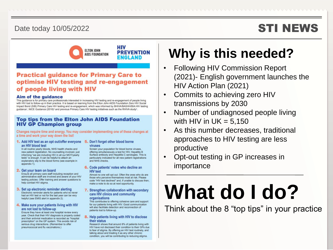#### Date today 10/05/2022 **STI NEWS**



#### **Practical guidance for Primary Care to** optimise HIV testing and re-engagement of people living with HIV

#### Aim of the guidance

This guidance is for primary care professionals interested in increasing HIV testing and re-engagement of people living with HIV lost to follow-up in their practice. It is based on learning from the Elton John AIDS Foundation Zero HIV Social Impact Bond (SIB) Primary Care HIV testing and re-engagement, which was informed by BHIVA/BASHH/BIA HIV testing guidance<sup>1</sup>, NICE Guidance (2016)<sup>2</sup> and previous Primary Care HIV testing initiatives such as the RHIVA study<sup>3</sup>.

#### **Top tips from the Elton John AIDS Foundation HIV GP Champion group**

Changes require time and energy. You may consider implementing one of these changes at a time and work your way down the list!

#### 1. Add HIV test as an opt out/offer everyone 5. Don't forget other blood borne an HIV blood test

In all routine yearly bloods, NHS health checks and new patient registration. No counselling involved, just informing "we are including HIV in all our MOT/yearly tests" is enough. It can be helpful to attach an explanatory slip to the blood forms (see example in appendix 1).

#### 2. Get your team on board

Ensure all primary care staff including reception and administrative staff are involved and aware of your HIV testing policies. Offer training and answer questions to help combat HIV stigma.

3. Set up electronic reminder alerting Electronic reminder alerts for patients who've never had an HIV test or not for the last year can be very helpful (see EMIS alert in appendix 2).

#### 4. Make sure your patients living with HIV are not lost to follow-up

Ensure they have at least one hospital review every year. Check that their HIV diagnosis is properly coded and their antiviral medication is recorded as "hospital prescription" on the GP system. This avoids risk of serious drug interactions. (Remember to offer pneumococcal and flu vaccinations.)

### viruses

Screen your population for blood borne viruses, offering simultaneously a test for HIV, Hepatitis B Surface antibody and Hepatitis C serologies. This is particularly indicated for all new patient registrations and NHS checks.

#### 6. Code patients' notes who decline an **HIV test**

Almost no one will opt out. Often the ones who do are those who perceive themselves most at risk. Please code "HIV test declined" and, if unable to discuss then, make a note to do so at next opportunity.

#### 7. Strengthen collaboration with secondary care HIV clinics and community organisations

This contributes to offering cohesive care and support for our patients living with HIV. Good communication will also facilitate detection and reconnection of patients lost to follow-up.

#### 8. Help patients living with HIV to disclose their status

Research shows that around 8% of patients living with HIV have not disclosed their condition to their GPs due to fear of stigma. By offering an HIV test routinely, and talking about and treating it as any other chronic condition, you will be contributing to reducing stigma.

### **Why is this needed?**

- Following HIV Commission Report (2021)- English government launches the HIV Action Plan (2021)
- Commits to achieving zero HIV transmissions by 2030
- Number of undiagnosed people living with HIV in  $UK = 5,150$
- As this number decreases, traditional approaches to HIV testing are less productive
- Opt-out testing in GP increases in importance

# **What do I do?**

Think about the 8 "top tips" in your practice